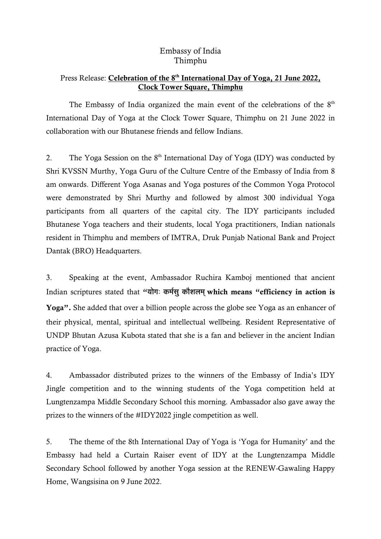## Embassy of India Thimphu

## Press Release: Celebration of the 8<sup>th</sup> International Day of Yoga, 21 June 2022, Clock Tower Square, Thimphu

The Embassy of India organized the main event of the celebrations of the  $8<sup>th</sup>$ International Day of Yoga at the Clock Tower Square, Thimphu on 21 June 2022 in collaboration with our Bhutanese friends and fellow Indians.

2. The Yoga Session on the  $8<sup>th</sup>$  International Day of Yoga (IDY) was conducted by Shri KVSSN Murthy, Yoga Guru of the Culture Centre of the Embassy of India from 8 am onwards. Different Yoga Asanas and Yoga postures of the Common Yoga Protocol were demonstrated by Shri Murthy and followed by almost 300 individual Yoga participants from all quarters of the capital city. The IDY participants included Bhutanese Yoga teachers and their students, local Yoga practitioners, Indian nationals resident in Thimphu and members of IMTRA, Druk Punjab National Bank and Project Dantak (BRO) Headquarters.

3. Speaking at the event, Ambassador Ruchira Kamboj mentioned that ancient Indian scriptures stated that "योगः कर्मस् कौशलम् which means "efficiency in action is Yoga". She added that over a billion people across the globe see Yoga as an enhancer of their physical, mental, spiritual and intellectual wellbeing. Resident Representative of UNDP Bhutan Azusa Kubota stated that she is a fan and believer in the ancient Indian practice of Yoga.

4. Ambassador distributed prizes to the winners of the Embassy of India's IDY Jingle competition and to the winning students of the Yoga competition held at Lungtenzampa Middle Secondary School this morning. Ambassador also gave away the prizes to the winners of the #IDY2022 jingle competition as well.

5. The theme of the 8th International Day of Yoga is 'Yoga for Humanity' and the Embassy had held a Curtain Raiser event of IDY at the Lungtenzampa Middle Secondary School followed by another Yoga session at the RENEW-Gawaling Happy Home, Wangsisina on 9 June 2022.